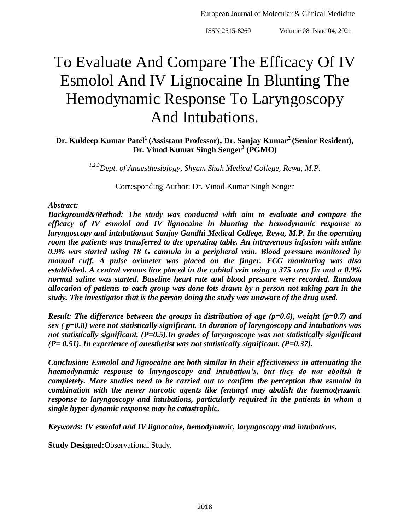# To Evaluate And Compare The Efficacy Of IV Esmolol And IV Lignocaine In Blunting The Hemodynamic Response To Laryngoscopy And Intubations.

**Dr. Kuldeep Kumar Patel<sup>1</sup>(Assistant Professor), Dr. Sanjay Kumar<sup>2</sup>(Senior Resident), Dr. Vinod Kumar Singh Senger<sup>3</sup> (PGMO)**

*1,2,3Dept. of Anaesthesiology, Shyam Shah Medical College, Rewa, M.P.*

Corresponding Author: Dr. Vinod Kumar Singh Senger

#### *Abstract:*

*Background&Method: The study was conducted with aim to evaluate and compare the efficacy of IV esmolol and IV lignocaine in blunting the hemodynamic response to laryngoscopy and intubationsat Sanjay Gandhi Medical College, Rewa, M.P. In the operating room the patients was transferred to the operating table. An intravenous infusion with saline 0.9% was started using 18 G cannula in a peripheral vein. Blood pressure monitored by manual cuff. A pulse oximeter was placed on the finger. ECG monitoring was also established. A central venous line placed in the cubital vein using a 375 cava fix and a 0.9% normal saline was started. Baseline heart rate and blood pressure were recorded. Random allocation of patients to each group was done lots drawn by a person not taking part in the study. The investigator that is the person doing the study was unaware of the drug used.*

*Result: The difference between the groups in distribution of age (p=0.6), weight (p=0.7) and sex ( p=0.8) were not statistically significant. In duration of laryngoscopy and intubations was not statistically significant. (P=0.5).In grades of laryngoscope was not statistically significant (P= 0.51). In experience of anesthetist was not statistically significant. (P=0.37).*

*Conclusion: Esmolol and lignocaine are both similar in their effectiveness in attenuating the haemodynamic response to laryngoscopy and intubation's, but they do not abolish it completely. More studies need to be carried out to confirm the perception that esmolol in combination with the newer narcotic agents like fentanyl may abolish the haemodynamic response to laryngoscopy and intubations, particularly required in the patients in whom a single hyper dynamic response may be catastrophic.*

*Keywords: IV esmolol and IV lignocaine, hemodynamic, laryngoscopy and intubations.*

**Study Designed:**Observational Study.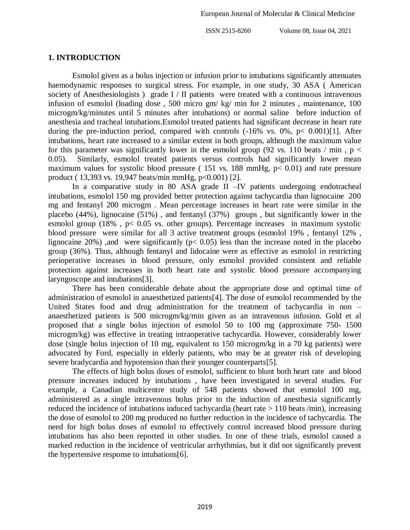#### **1. INTRODUCTION**

Esmolol given as a bolus injection or infusion prior to intubations significantly attenuates haemodynamic responses to surgical stress. For example, in one study, 30 ASA ( American society of Anesthesiologists ) grade I / II patients were treated with a continuous intravenous infusion of esmolol (loading dose , 500 micro gm/ kg/ min for 2 minutes , maintenance, 100 microgm/kg/minutes until 5 minutes after intubations) or normal saline before induction of anesthesia and tracheal intubations.Esmolol treated patients had significant decrease in heart rate during the pre-induction period, compared with controls  $(-16\% \text{ vs. } 0\%, \text{ p} < 0.001)[1]$ . After intubations, heart rate increased to a similar extent in both groups, although the maximum value for this parameter was significantly lower in the esmolol group (92 vs. 110 beats / min,  $p <$ 0.05). Similarly, esmolol treated patients versus controls had significantly lower mean maximum values for systolic blood pressure (151 vs. 188 mmHg,  $p < 0.01$ ) and rate pressure product ( 13,393 vs. 19,947 beats/min mmHg, p<0.001) [2].

In a comparative study in 80 ASA grade II –IV patients undergoing endotracheal intubations, esmolol 150 mg provided better protection against tachycardia than lignocaine 200 mg and fentanyl 200 microgm . Mean percentage increases in heart rate were similar in the placebo (44%), lignocaine (51%) , and fentanyl (37%) groups , but significantly lower in the esmolol group (18%,  $p < 0.05$  vs. other groups). Percentage increases in maximum systolic blood pressure were similar for all 3 active treatment groups (esmolol 19% , fentanyl 12% , lignocaine 20%), and were significantly ( $p < 0.05$ ) less than the increase noted in the placebo group (36%). Thus, although fentanyl and lidocaine were as effective as esmolol in restricting perioperative increases in blood pressure, only esmolol provided consistent and reliable protection against increases in both heart rate and systolic blood pressure accompanying laryngoscope and intubations[3].

There has been considerable debate about the appropriate dose and optimal time of administration of esmolol in anaesthetized patients[4]. The dose of esmolol recommended by the United States food and drug administration for the treatment of tachycardia in non – anaesthetized patients is 500 microgm/kg/min given as an intravenous infusion. Gold et al proposed that a single bolus injection of esmolol 50 to 100 mg (approximate 750- 1500 microgm/kg) was effective in treating intraoperative tachycardia. However, considerably lower dose (single bolus injection of 10 mg, equivalent to 150 microgm/kg in a 70 kg patients) were advocated by Ford, especially in elderly patients, who may be at greater risk of developing severe bradycardia and hypotension than their younger counterparts[5].

The effects of high bolus doses of esmolol, sufficient to blunt both heart rate and blood pressure increases induced by intubations , have been investigated in several studies. For example, a Canadian multicentre study of 548 patients showed that esmolol 100 mg, administered as a single intravenous bolus prior to the induction of anesthesia significantly reduced the incidence of intubations induced tachycardia (heart rate > 110 beats /min), increasing the dose of esmolol to 200 mg produced no further reduction in the incidence of tachycardia. The need for high bolus doses of esmolol to effectively control increased blood pressure during intubations has also been reported in other studies. In one of these trials, esmolol caused a marked reduction in the incidence of ventricular arrhythmias, but it did not significantly prevent the hypertensive response to intubations[6].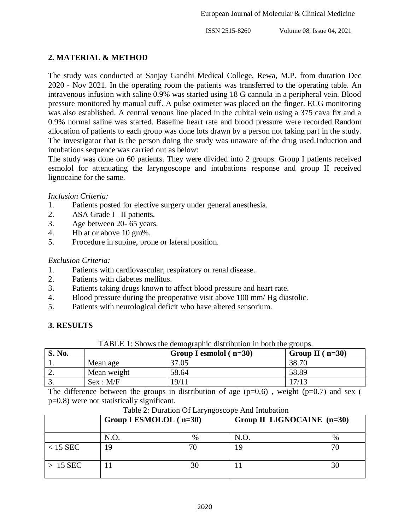# **2. MATERIAL & METHOD**

The study was conducted at Sanjay Gandhi Medical College, Rewa, M.P. from duration Dec 2020 - Nov 2021. In the operating room the patients was transferred to the operating table. An intravenous infusion with saline 0.9% was started using 18 G cannula in a peripheral vein. Blood pressure monitored by manual cuff. A pulse oximeter was placed on the finger. ECG monitoring was also established. A central venous line placed in the cubital vein using a 375 cava fix and a 0.9% normal saline was started. Baseline heart rate and blood pressure were recorded.Random allocation of patients to each group was done lots drawn by a person not taking part in the study. The investigator that is the person doing the study was unaware of the drug used.Induction and intubations sequence was carried out as below:

The study was done on 60 patients. They were divided into 2 groups. Group I patients received esmolol for attenuating the laryngoscope and intubations response and group II received lignocaine for the same.

### *Inclusion Criteria:*

- 1. Patients posted for elective surgery under general anesthesia.
- 2. ASA Grade I –II patients.
- 3. Age between 20- 65 years.
- 4. Hb at or above 10 gm%.
- 5. Procedure in supine, prone or lateral position.

## *Exclusion Criteria:*

- 1. Patients with cardiovascular, respiratory or renal disease.
- 2. Patients with diabetes mellitus.
- 3. Patients taking drugs known to affect blood pressure and heart rate.
- 4. Blood pressure during the preoperative visit above 100 mm/ Hg diastolic.
- 5. Patients with neurological deficit who have altered sensorium.

# **3. RESULTS**

TABLE 1: Shows the demographic distribution in both the groups.

| S. No.   |             | Group I esmolol $(n=30)$ | Group II $(n=30)$ |
|----------|-------------|--------------------------|-------------------|
| . .      | Mean age    | 37.05                    | 38.70             |
| <u>.</u> | Mean weight | 58.64                    | 58.89             |
| <u>.</u> | Sex : M/F   | 19/11                    | 17/13             |

The difference between the groups in distribution of age  $(p=0.6)$ , weight  $(p=0.7)$  and sex ( p=0.8) were not statistically significant.

|            | Group I ESMOLOL $(n=30)$ |      | Group II LIGNOCAINE (n=30) |               |
|------------|--------------------------|------|----------------------------|---------------|
|            | N.O                      | $\%$ | N.O                        | $\frac{0}{0}$ |
| $<$ 15 SEC | 19                       |      | ١q                         |               |
| $>15$ SEC  |                          |      |                            |               |

Table 2: Duration Of Laryngoscope And Intubation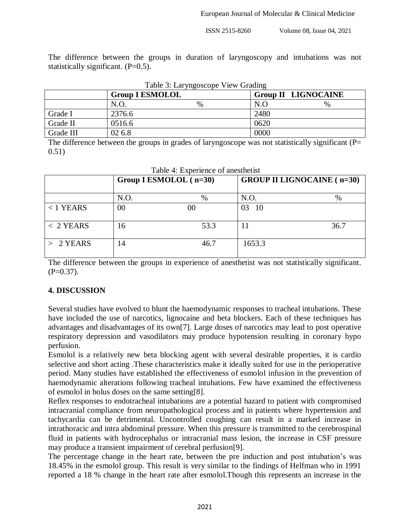The difference between the groups in duration of laryngoscopy and intubations was not statistically significant. (P=0.5).

| Table 3: Laryngoscope View Grading |                        |   |                            |      |  |
|------------------------------------|------------------------|---|----------------------------|------|--|
|                                    | <b>Group I ESMOLOL</b> |   | <b>Group II LIGNOCAINE</b> |      |  |
|                                    | N.O.                   | % | N.O                        | $\%$ |  |
| Grade I                            | 2376.6                 |   | 2480                       |      |  |
| Grade II                           | 0516.6                 |   | 0620                       |      |  |
| Grade III                          | 02 6.8                 |   | 0000                       |      |  |

Table 3: Laryngoscope View Grading

The difference between the groups in grades of laryngoscope was not statistically significant (P= 0.51)

|             | Group I ESMOLOL (n=30) |      | <b>GROUP II LIGNOCAINE</b> (n=30) |      |
|-------------|------------------------|------|-----------------------------------|------|
|             | N.O.                   | $\%$ | N.O.                              | $\%$ |
| $< 1$ YEARS | 00                     | 00   | 03<br>10                          |      |
| $< 2$ YEARS | 16                     | 53.3 |                                   | 36.7 |
| $> 2$ YEARS | 14                     | 46.7 | 1653.3                            |      |

Table 4: Experience of anesthetist

The difference between the groups in experience of anesthetist was not statistically significant.  $(P=0.37)$ .

# **4. DISCUSSION**

Several studies have evolved to blunt the haemodynamic responses to tracheal intubations. These have included the use of narcotics, lignocaine and beta blockers. Each of these techniques has advantages and disadvantages of its own[7]. Large doses of narcotics may lead to post operative respiratory depression and vasodilators may produce hypotension resulting in coronary hypo perfusion.

Esmolol is a relatively new beta blocking agent with several desirable properties, it is cardio selective and short acting .These characteristics make it ideally suited for use in the perioperative period. Many studies have established the effectiveness of esmolol infusion in the prevention of haemodynamic alterations following tracheal intubations. Few have examined the effectiveness of esmolol in bolus doses on the same setting[8].

Reflex responses to endotracheal intubations are a potential hazard to patient with compromised intracranial compliance from neuropathological process and in patients where hypertension and tachycardia can be detrimental. Uncontrolled coughing can result in a marked increase in intrathoracic and intra abdominal pressure. When this pressure is transmitted to the cerebrospinal fluid in patients with hydrocephalus or intracranial mass lesion, the increase in CSF pressure may produce a transient impairment of cerebral perfusion[9].

The percentage change in the heart rate, between the pre induction and post intubation's was 18.45% in the esmolol group. This result is very similar to the findings of Helfman who in 1991 reported a 18 % change in the heart rate after esmolol.Though this represents an increase in the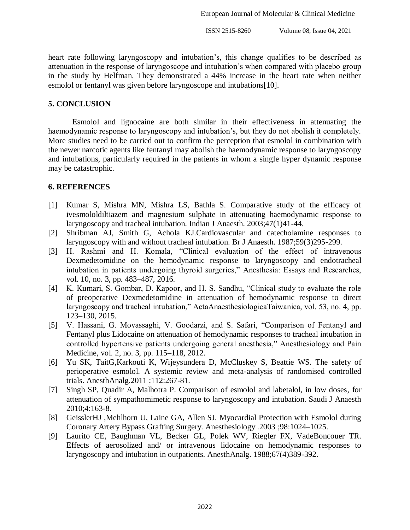heart rate following laryngoscopy and intubation's, this change qualifies to be described as attenuation in the response of laryngoscope and intubation's when compared with placebo group in the study by Helfman. They demonstrated a 44% increase in the heart rate when neither esmolol or fentanyl was given before laryngoscope and intubations[10].

#### **5. CONCLUSION**

Esmolol and lignocaine are both similar in their effectiveness in attenuating the haemodynamic response to laryngoscopy and intubation's, but they do not abolish it completely. More studies need to be carried out to confirm the perception that esmolol in combination with the newer narcotic agents like fentanyl may abolish the haemodynamic response to laryngoscopy and intubations, particularly required in the patients in whom a single hyper dynamic response may be catastrophic.

#### **6. REFERENCES**

- [1] Kumar S, Mishra MN, Mishra LS, Bathla S. Comparative study of the efficacy of ivesmololdiltiazem and magnesium sulphate in attenuating haemodynamic response to laryngoscopy and tracheal intubation. Indian J Anaesth. 2003;47(1)41-44.
- [2] Shribman AJ, Smith G, Achola KJ.Cardiovascular and catecholamine responses to laryngoscopy with and without tracheal intubation. Br J Anaesth. 1987;59(3)295-299.
- [3] H. Rashmi and H. Komala, "Clinical evaluation of the effect of intravenous Dexmedetomidine on the hemodynamic response to laryngoscopy and endotracheal intubation in patients undergoing thyroid surgeries," Anesthesia: Essays and Researches, vol. 10, no. 3, pp. 483–487, 2016.
- [4] K. Kumari, S. Gombar, D. Kapoor, and H. S. Sandhu, "Clinical study to evaluate the role of preoperative Dexmedetomidine in attenuation of hemodynamic response to direct laryngoscopy and tracheal intubation," ActaAnaesthesiologicaTaiwanica, vol. 53, no. 4, pp. 123–130, 2015.
- [5] V. Hassani, G. Movassaghi, V. Goodarzi, and S. Safari, "Comparison of Fentanyl and Fentanyl plus Lidocaine on attenuation of hemodynamic responses to tracheal intubation in controlled hypertensive patients undergoing general anesthesia," Anesthesiology and Pain Medicine, vol. 2, no. 3, pp. 115–118, 2012.
- [6] Yu SK, TaitG,Karkouti K, Wijeysundera D, McCluskey S, Beattie WS. The safety of perioperative esmolol. A systemic review and meta-analysis of randomised controlled trials. AnesthAnalg.2011 ;112:267-81.
- [7] Singh SP, Quadir A, Malhotra P. Comparison of esmolol and labetalol, in low doses, for attenuation of sympathomimetic response to laryngoscopy and intubation. Saudi J Anaesth 2010;4:163-8.
- [8] GeisslerHJ ,Mehlhorn U, Laine GA, Allen SJ. Myocardial Protection with Esmolol during Coronary Artery Bypass Grafting Surgery. Anesthesiology .2003 ;98:1024–1025.
- [9] Laurito CE, Baughman VL, Becker GL, Polek WV, Riegler FX, VadeBoncouer TR. Effects of aerosolized and/ or intravenous lidocaine on hemodynamic responses to laryngoscopy and intubation in outpatients. AnesthAnalg. 1988;67(4)389-392.